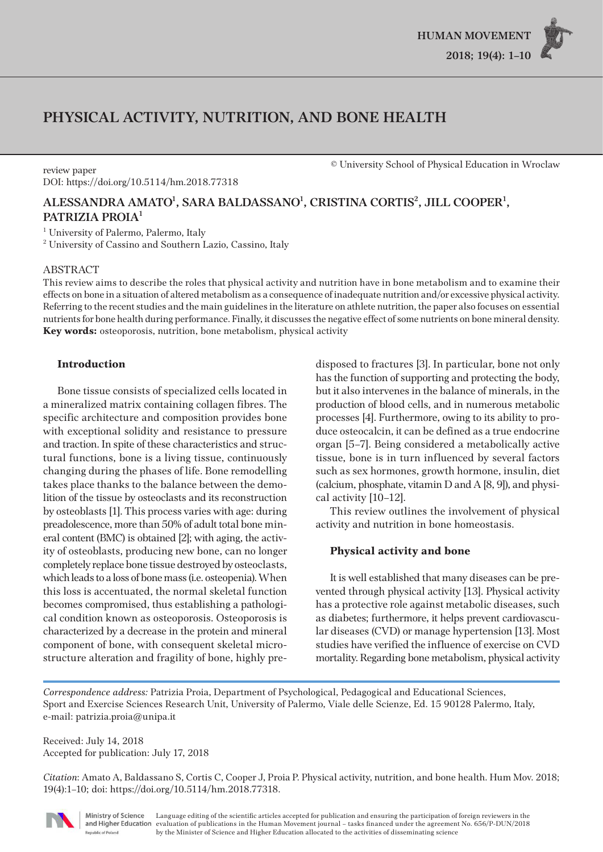

# **PHYSICAL ACTIVITY, NUTRITION, AND BONE HEALTH**

review paper doi: https://doi.org/10.5114/hm.2018.77318 © University School of Physical Education in Wroclaw

# **ALESSANDRA AMATO1 , SARA BALDASSANO1 , CRISTINA CORTIS2 , JILL COOPER1 , PATRIZIA PROIA1**

<sup>1</sup> University of Palermo, Palermo, Italy

<sup>2</sup> University of Cassino and Southern Lazio, Cassino, Italy

#### **ABSTRACT**

This review aims to describe the roles that physical activity and nutrition have in bone metabolism and to examine their effects on bone in a situation of altered metabolism as a consequence of inadequate nutrition and/or excessive physical activity. Referring to the recent studies and the main guidelines in the literature on athlete nutrition, the paper also focuses on essential nutrients for bone health during performance. Finally, it discusses the negative effect of some nutrients on bone mineral density. Key words: osteoporosis, nutrition, bone metabolism, physical activity

### Introduction

Bone tissue consists of specialized cells located in a mineralized matrix containing collagen fibres. The specific architecture and composition provides bone with exceptional solidity and resistance to pressure and traction. In spite of these characteristics and structural functions, bone is a living tissue, continuously changing during the phases of life. Bone remodelling takes place thanks to the balance between the demolition of the tissue by osteoclasts and its reconstruction by osteoblasts [1]. This process varies with age: during preadolescence, more than 50% of adult total bone mineral content (BMC) is obtained [2]; with aging, the activity of osteoblasts, producing new bone, can no longer completely replace bone tissue destroyed by osteoclasts, which leads to a loss of bone mass (i.e. osteopenia). When this loss is accentuated, the normal skeletal function becomes compromised, thus establishing a pathological condition known as osteoporosis. Osteoporosis is characterized by a decrease in the protein and mineral component of bone, with consequent skeletal microstructure alteration and fragility of bone, highly predisposed to fractures [3]. In particular, bone not only has the function of supporting and protecting the body, but it also intervenes in the balance of minerals, in the production of blood cells, and in numerous metabolic processes [4]. Furthermore, owing to its ability to produce osteocalcin, it can be defined as a true endocrine organ [5–7]. Being considered a metabolically active tissue, bone is in turn influenced by several factors such as sex hormones, growth hormone, insulin, diet (calcium, phosphate, vitamin D and A [8, 9]), and physical activity [10–12].

This review outlines the involvement of physical activity and nutrition in bone homeostasis.

#### Physical activity and bone

It is well established that many diseases can be prevented through physical activity [13]. Physical activity has a protective role against metabolic diseases, such as diabetes; furthermore, it helps prevent cardiovascular diseases (CVD) or manage hypertension [13]. Most studies have verified the influence of exercise on CVD mortality. Regarding bone metabolism, physical activity

*Correspondence address:* Patrizia Proia, Department of Psychological, Pedagogical and Educational Sciences, Sport and Exercise Sciences Research Unit, University of Palermo, Viale delle Scienze, Ed. 15 90128 Palermo, Italy, e-mail: patrizia.proia@unipa.it

Received: July 14, 2018 Accepted for publication: July 17, 2018

*Citation*: Amato A, Baldassano S, Cortis C, Cooper J, Proia P. Physical activity, nutrition, and bone health. Hum Mov. 2018; 19(4):1–10; doi: https://doi.org/10.5114/hm.2018.77318.

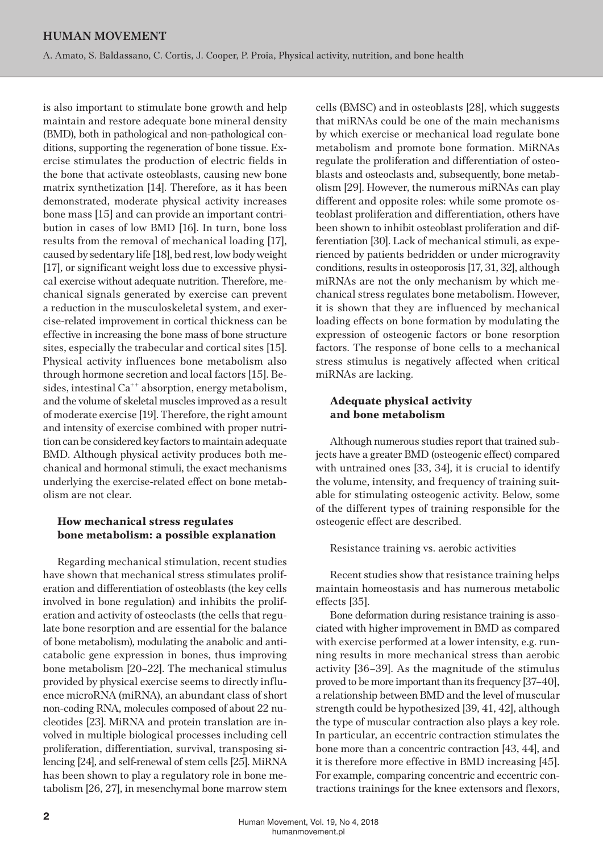is also important to stimulate bone growth and help maintain and restore adequate bone mineral density (BMD), both in pathological and non-pathological conditions, supporting the regeneration of bone tissue. Exercise stimulates the production of electric fields in the bone that activate osteoblasts, causing new bone matrix synthetization [14]. Therefore, as it has been demonstrated, moderate physical activity increases bone mass [15] and can provide an important contribution in cases of low BMD [16]. In turn, bone loss results from the removal of mechanical loading [17], caused by sedentary life [18], bed rest, low body weight [17], or significant weight loss due to excessive physical exercise without adequate nutrition. Therefore, mechanical signals generated by exercise can prevent a reduction in the musculoskeletal system, and exercise-related improvement in cortical thickness can be effective in increasing the bone mass of bone structure sites, especially the trabecular and cortical sites [15]. Physical activity influences bone metabolism also through hormone secretion and local factors [15]. Besides, intestinal  $Ca^{++}$  absorption, energy metabolism, and the volume of skeletal muscles improved as a result of moderate exercise [19]. Therefore, the right amount and intensity of exercise combined with proper nutrition can be considered key factors to maintain adequate BMD. Although physical activity produces both mechanical and hormonal stimuli, the exact mechanisms underlying the exercise-related effect on bone metabolism are not clear.

# How mechanical stress regulates bone metabolism: a possible explanation

Regarding mechanical stimulation, recent studies have shown that mechanical stress stimulates proliferation and differentiation of osteoblasts (the key cells involved in bone regulation) and inhibits the proliferation and activity of osteoclasts (the cells that regulate bone resorption and are essential for the balance of bone metabolism), modulating the anabolic and anticatabolic gene expression in bones, thus improving bone metabolism [20–22]. The mechanical stimulus provided by physical exercise seems to directly influence microRNA (miRNA), an abundant class of short non-coding RNA, molecules composed of about 22 nucleotides [23]. MiRNA and protein translation are involved in multiple biological processes including cell proliferation, differentiation, survival, transposing silencing [24], and self-renewal of stem cells [25]. MiRNA has been shown to play a regulatory role in bone metabolism [26, 27], in mesenchymal bone marrow stem cells (BMSC) and in osteoblasts [28], which suggests that miRNAs could be one of the main mechanisms by which exercise or mechanical load regulate bone metabolism and promote bone formation. MiRNAs regulate the proliferation and differentiation of osteoblasts and osteoclasts and, subsequently, bone metabolism [29]. However, the numerous miRNAs can play different and opposite roles: while some promote osteoblast proliferation and differentiation, others have been shown to inhibit osteoblast proliferation and differentiation [30]. Lack of mechanical stimuli, as experienced by patients bedridden or under microgravity conditions, results in osteoporosis [17, 31, 32], although miRNAs are not the only mechanism by which mechanical stress regulates bone metabolism. However, it is shown that they are influenced by mechanical loading effects on bone formation by modulating the expression of osteogenic factors or bone resorption factors. The response of bone cells to a mechanical stress stimulus is negatively affected when critical miRNAs are lacking.

# Adequate physical activity and bone metabolism

Although numerous studies report that trained subjects have a greater BMD (osteogenic effect) compared with untrained ones [33, 34], it is crucial to identify the volume, intensity, and frequency of training suitable for stimulating osteogenic activity. Below, some of the different types of training responsible for the osteogenic effect are described.

Resistance training vs. aerobic activities

Recent studies show that resistance training helps maintain homeostasis and has numerous metabolic effects [35].

Bone deformation during resistance training is associated with higher improvement in BMD as compared with exercise performed at a lower intensity, e.g. running results in more mechanical stress than aerobic activity [36–39]. As the magnitude of the stimulus proved to be more important than its frequency [37–40], a relationship between BMD and the level of muscular strength could be hypothesized [39, 41, 42], although the type of muscular contraction also plays a key role. In particular, an eccentric contraction stimulates the bone more than a concentric contraction [43, 44], and it is therefore more effective in BMD increasing [45]. For example, comparing concentric and eccentric contractions trainings for the knee extensors and flexors,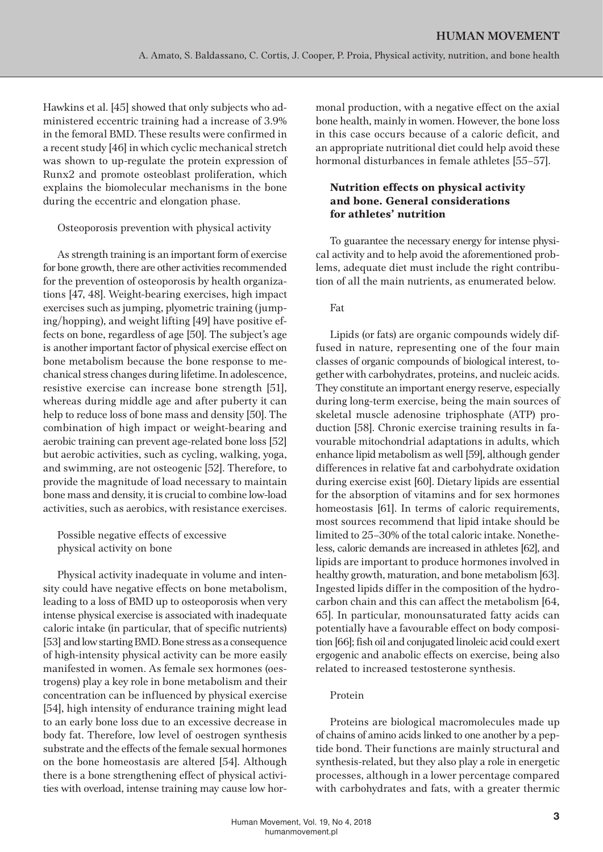Hawkins et al. [45] showed that only subjects who administered eccentric training had a increase of 3.9% in the femoral BMD. These results were confirmed in a recent study [46] in which cyclic mechanical stretch was shown to up-regulate the protein expression of Runx2 and promote osteoblast proliferation, which explains the biomolecular mechanisms in the bone during the eccentric and elongation phase.

Osteoporosis prevention with physical activity

As strength training is an important form of exercise for bone growth, there are other activities recommended for the prevention of osteoporosis by health organizations [47, 48]. Weight-bearing exercises, high impact exercises such as jumping, plyometric training (jumping/hopping), and weight lifting [49] have positive effects on bone, regardless of age [50]. The subject's age is another important factor of physical exercise effect on bone metabolism because the bone response to mechanical stress changes during lifetime. In adolescence, resistive exercise can increase bone strength [51], whereas during middle age and after puberty it can help to reduce loss of bone mass and density [50]. The combination of high impact or weight-bearing and aerobic training can prevent age-related bone loss [52] but aerobic activities, such as cycling, walking, yoga, and swimming, are not osteogenic [52]. Therefore, to provide the magnitude of load necessary to maintain bone mass and density, it is crucial to combine low-load activities, such as aerobics, with resistance exercises.

Possible negative effects of excessive physical activity on bone

Physical activity inadequate in volume and intensity could have negative effects on bone metabolism, leading to a loss of BMD up to osteoporosis when very intense physical exercise is associated with inadequate caloric intake (in particular, that of specific nutrients) [53] and low starting BMD. Bone stress as a consequence of high-intensity physical activity can be more easily manifested in women. As female sex hormones (oestrogens) play a key role in bone metabolism and their concentration can be influenced by physical exercise [54], high intensity of endurance training might lead to an early bone loss due to an excessive decrease in body fat. Therefore, low level of oestrogen synthesis substrate and the effects of the female sexual hormones on the bone homeostasis are altered [54]. Although there is a bone strengthening effect of physical activities with overload, intense training may cause low hormonal production, with a negative effect on the axial bone health, mainly in women. However, the bone loss in this case occurs because of a caloric deficit, and an appropriate nutritional diet could help avoid these hormonal disturbances in female athletes [55–57].

# Nutrition effects on physical activity and bone. General considerations for athletes' nutrition

To guarantee the necessary energy for intense physical activity and to help avoid the aforementioned problems, adequate diet must include the right contribution of all the main nutrients, as enumerated below.

Fat

Lipids (or fats) are organic compounds widely diffused in nature, representing one of the four main classes of organic compounds of biological interest, together with carbohydrates, proteins, and nucleic acids. They constitute an important energy reserve, especially during long-term exercise, being the main sources of skeletal muscle adenosine triphosphate (ATP) production [58]. Chronic exercise training results in favourable mitochondrial adaptations in adults, which enhance lipid metabolism as well [59], although gender differences in relative fat and carbohydrate oxidation during exercise exist [60]. Dietary lipids are essential for the absorption of vitamins and for sex hormones homeostasis [61]. In terms of caloric requirements, most sources recommend that lipid intake should be limited to 25–30% of the total caloric intake. Nonetheless, caloric demands are increased in athletes [62], and lipids are important to produce hormones involved in healthy growth, maturation, and bone metabolism [63]. Ingested lipids differ in the composition of the hydrocarbon chain and this can affect the metabolism [64, 65]. In particular, monounsaturated fatty acids can potentially have a favourable effect on body composition [66]; fish oil and conjugated linoleic acid could exert ergogenic and anabolic effects on exercise, being also related to increased testosterone synthesis.

# Protein

Proteins are biological macromolecules made up of chains of amino acids linked to one another by a peptide bond. Their functions are mainly structural and synthesis-related, but they also play a role in energetic processes, although in a lower percentage compared with carbohydrates and fats, with a greater thermic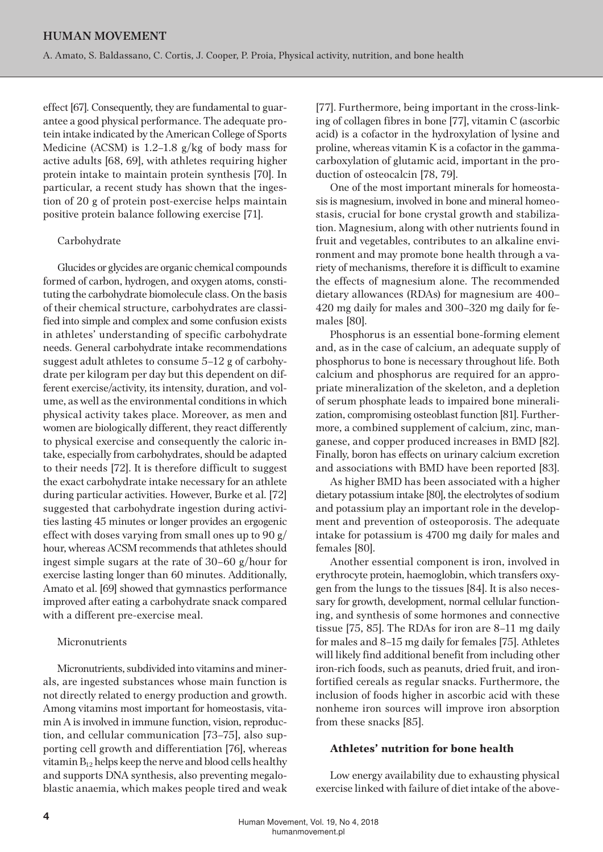effect [67]. Consequently, they are fundamental to guarantee a good physical performance. The adequate protein intake indicated by the American College of Sports Medicine (ACSM) is 1.2–1.8 g/kg of body mass for active adults [68, 69], with athletes requiring higher protein intake to maintain protein synthesis [70]. In particular, a recent study has shown that the ingestion of 20 g of protein post-exercise helps maintain positive protein balance following exercise [71].

#### Carbohydrate

Glucides or glycides are organic chemical compounds formed of carbon, hydrogen, and oxygen atoms, constituting the carbohydrate biomolecule class. On the basis of their chemical structure, carbohydrates are classified into simple and complex and some confusion exists in athletes' understanding of specific carbohydrate needs. General carbohydrate intake recommendations suggest adult athletes to consume 5–12 g of carbohydrate per kilogram per day but this dependent on different exercise/activity, its intensity, duration, and volume, as well as the environmental conditions in which physical activity takes place. Moreover, as men and women are biologically different, they react differently to physical exercise and consequently the caloric intake, especially from carbohydrates, should be adapted to their needs [72]. It is therefore difficult to suggest the exact carbohydrate intake necessary for an athlete during particular activities. However, Burke et al. [72] suggested that carbohydrate ingestion during activities lasting 45 minutes or longer provides an ergogenic effect with doses varying from small ones up to 90 g/ hour, whereas ACSM recommends that athletes should ingest simple sugars at the rate of 30–60 g/hour for exercise lasting longer than 60 minutes. Additionally, Amato et al. [69] showed that gymnastics performance improved after eating a carbohydrate snack compared with a different pre-exercise meal.

#### Micronutrients

Micronutrients, subdivided into vitamins and minerals, are ingested substances whose main function is not directly related to energy production and growth. Among vitamins most important for homeostasis, vitamin A is involved in immune function, vision, reproduction, and cellular communication [73–75], also supporting cell growth and differentiation [76], whereas vitamin  $B_{12}$  helps keep the nerve and blood cells healthy and supports DNA synthesis, also preventing megaloblastic anaemia, which makes people tired and weak [77]. Furthermore, being important in the cross-linking of collagen fibres in bone [77], vitamin C (ascorbic acid) is a cofactor in the hydroxylation of lysine and proline, whereas vitamin K is a cofactor in the gammacarboxylation of glutamic acid, important in the production of osteocalcin [78, 79].

One of the most important minerals for homeostasis is magnesium, involved in bone and mineral homeostasis, crucial for bone crystal growth and stabilization. Magnesium, along with other nutrients found in fruit and vegetables, contributes to an alkaline environment and may promote bone health through a variety of mechanisms, therefore it is difficult to examine the effects of magnesium alone. The recommended dietary allowances (RDAs) for magnesium are 400– 420 mg daily for males and 300–320 mg daily for females [80].

Phosphorus is an essential bone-forming element and, as in the case of calcium, an adequate supply of phosphorus to bone is necessary throughout life. Both calcium and phosphorus are required for an appropriate mineralization of the skeleton, and a depletion of serum phosphate leads to impaired bone mineralization, compromising osteoblast function [81]. Furthermore, a combined supplement of calcium, zinc, manganese, and copper produced increases in BMD [82]. Finally, boron has effects on urinary calcium excretion and associations with BMD have been reported [83].

As higher BMD has been associated with a higher dietary potassium intake [80], the electrolytes of sodium and potassium play an important role in the development and prevention of osteoporosis. The adequate intake for potassium is 4700 mg daily for males and females [80].

Another essential component is iron, involved in erythrocyte protein, haemoglobin, which transfers oxygen from the lungs to the tissues [84]. It is also necessary for growth, development, normal cellular functioning, and synthesis of some hormones and connective tissue [75, 85]. The RDAs for iron are 8–11 mg daily for males and 8–15 mg daily for females [75]. Athletes will likely find additional benefit from including other iron-rich foods, such as peanuts, dried fruit, and ironfortified cereals as regular snacks. Furthermore, the inclusion of foods higher in ascorbic acid with these nonheme iron sources will improve iron absorption from these snacks [85].

### Athletes' nutrition for bone health

Low energy availability due to exhausting physical exercise linked with failure of diet intake of the above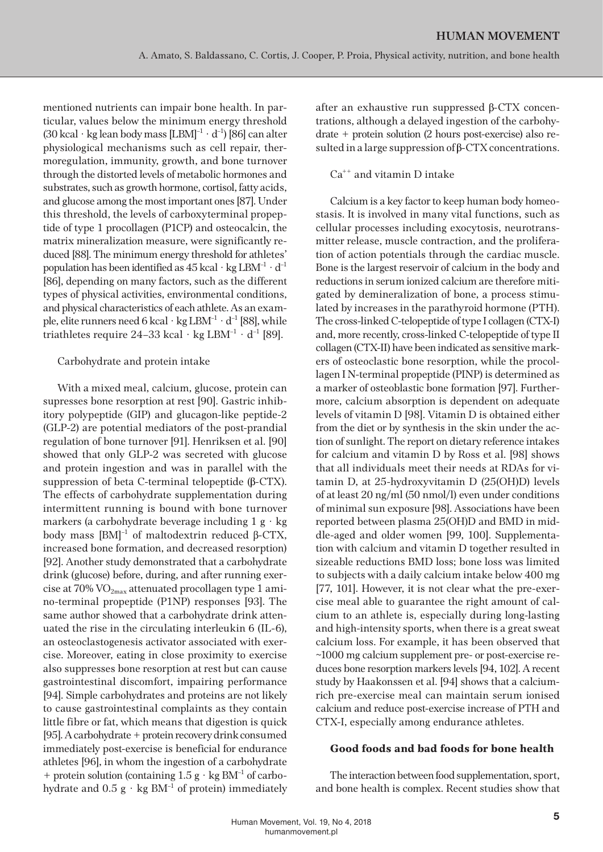mentioned nutrients can impair bone health. In particular, values below the minimum energy threshold (30 kcal · kg lean body mass  $[{\rm LBM}]^{-1} \cdot d^{-1}$ ) [86] can alter physiological mechanisms such as cell repair, thermoregulation, immunity, growth, and bone turnover through the distorted levels of metabolic hormones and substrates, such as growth hormone, cortisol, fatty acids, and glucose among the most important ones [87]. Under this threshold, the levels of carboxyterminal propeptide of type 1 procollagen (P1CP) and osteocalcin, the matrix mineralization measure, were significantly reduced [88]. The minimum energy threshold for athletes' population has been identified as  $45$  kcal  $\cdot$  kg LBM<sup>-1</sup>  $\cdot$  d<sup>-1</sup> [86], depending on many factors, such as the different types of physical activities, environmental conditions, and physical characteristics of each athlete. As an example, elite runners need 6 kcal·kg LBM<sup>-1</sup>·d<sup>-1</sup> [88], while triathletes require 24-33 kcal  $\cdot$  kg LBM<sup>-1</sup>  $\cdot$  d<sup>-1</sup> [89].

# Carbohydrate and protein intake

With a mixed meal, calcium, glucose, protein can supresses bone resorption at rest [90]. Gastric inhibitory polypeptide (GIP) and glucagon-like peptide-2 (GLP-2) are potential mediators of the post-prandial regulation of bone turnover [91]. Henriksen et al. [90] showed that only GLP-2 was secreted with glucose and protein ingestion and was in parallel with the suppression of beta C-terminal telopeptide  $(\beta$ -CTX). The effects of carbohydrate supplementation during intermittent running is bound with bone turnover markers (a carbohydrate beverage including 1 g · kg body mass  $[BM]^{-1}$  of maltodextrin reduced  $\beta$ -CTX, increased bone formation, and decreased resorption) [92]. Another study demonstrated that a carbohydrate drink (glucose) before, during, and after running exercise at  $70\%$  VO<sub>2max</sub> attenuated procollagen type 1 amino-terminal propeptide (P1NP) responses [93]. The same author showed that a carbohydrate drink attenuated the rise in the circulating interleukin 6 (IL-6), an osteoclastogenesis activator associated with exercise. Moreover, eating in close proximity to exercise also suppresses bone resorption at rest but can cause gastrointestinal discomfort, impairing performance [94]. Simple carbohydrates and proteins are not likely to cause gastrointestinal complaints as they contain little fibre or fat, which means that digestion is quick [95]. A carbohydrate + protein recovery drink consumed immediately post-exercise is beneficial for endurance athletes [96], in whom the ingestion of a carbohydrate + protein solution (containing  $1.5$  g  $\cdot$  kg BM<sup>-1</sup> of carbohydrate and  $0.5$  g  $\cdot$  kg  $BM^{-1}$  of protein) immediately

after an exhaustive run suppressed  $\beta$ -CTX concentrations, although a delayed ingestion of the carbohydrate + protein solution (2 hours post-exercise) also resulted in a large suppression of  $\beta$ -CTX concentrations.

# $Ca^{++}$  and vitamin D intake

Calcium is a key factor to keep human body homeostasis. It is involved in many vital functions, such as cellular processes including exocytosis, neurotransmitter release, muscle contraction, and the proliferation of action potentials through the cardiac muscle. Bone is the largest reservoir of calcium in the body and reductions in serum ionized calcium are therefore mitigated by demineralization of bone, a process stimulated by increases in the parathyroid hormone (PTH). The cross-linked C-telopeptide of type I collagen (CTX-I) and, more recently, cross-linked C-telopeptide of type II collagen (CTX-II) have been indicated as sensitive markers of osteoclastic bone resorption, while the procollagen I N-terminal propeptide (PINP) is determined as a marker of osteoblastic bone formation [97]. Furthermore, calcium absorption is dependent on adequate levels of vitamin D [98]. Vitamin D is obtained either from the diet or by synthesis in the skin under the action of sunlight. The report on dietary reference intakes for calcium and vitamin D by Ross et al. [98] shows that all individuals meet their needs at RDAs for vitamin D, at 25-hydroxyvitamin D (25(OH)D) levels of at least 20 ng/ml (50 nmol/l) even under conditions of minimal sun exposure [98]. Associations have been reported between plasma 25(OH)D and BMD in middle-aged and older women [99, 100]. Supplementation with calcium and vitamin D together resulted in sizeable reductions BMD loss; bone loss was limited to subjects with a daily calcium intake below 400 mg [77, 101]. However, it is not clear what the pre-exercise meal able to guarantee the right amount of calcium to an athlete is, especially during long-lasting and high-intensity sports, when there is a great sweat calcium loss. For example, it has been observed that ~1000 mg calcium supplement pre- or post-exercise reduces bone resorption markers levels [94, 102]. A recent study by Haakonssen et al. [94] shows that a calciumrich pre-exercise meal can maintain serum ionised calcium and reduce post-exercise increase of PTH and CTX-I, especially among endurance athletes.

# Good foods and bad foods for bone health

The interaction between food supplementation, sport, and bone health is complex. Recent studies show that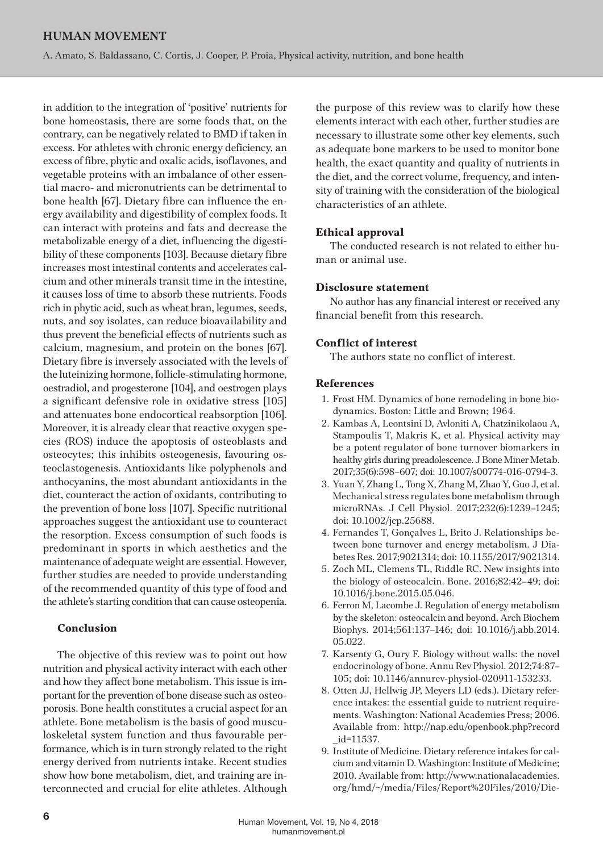in addition to the integration of 'positive' nutrients for bone homeostasis, there are some foods that, on the contrary, can be negatively related to BMD if taken in excess. For athletes with chronic energy deficiency, an excess of fibre, phytic and oxalic acids, isoflavones, and vegetable proteins with an imbalance of other essential macro- and micronutrients can be detrimental to bone health [67]. Dietary fibre can influence the energy availability and digestibility of complex foods. It can interact with proteins and fats and decrease the metabolizable energy of a diet, influencing the digestibility of these components [103]. Because dietary fibre increases most intestinal contents and accelerates calcium and other minerals transit time in the intestine, it causes loss of time to absorb these nutrients. Foods rich in phytic acid, such as wheat bran, legumes, seeds, nuts, and soy isolates, can reduce bioavailability and thus prevent the beneficial effects of nutrients such as calcium, magnesium, and protein on the bones [67]. Dietary fibre is inversely associated with the levels of the luteinizing hormone, follicle-stimulating hormone, oestradiol, and progesterone [104], and oestrogen plays a significant defensive role in oxidative stress [105] and attenuates bone endocortical reabsorption [106]. Moreover, it is already clear that reactive oxygen species (ROS) induce the apoptosis of osteoblasts and osteocytes; this inhibits osteogenesis, favouring osteoclastogenesis. Antioxidants like polyphenols and anthocyanins, the most abundant antioxidants in the diet, counteract the action of oxidants, contributing to the prevention of bone loss [107]. Specific nutritional approaches suggest the antioxidant use to counteract the resorption. Excess consumption of such foods is predominant in sports in which aesthetics and the maintenance of adequate weight are essential. However, further studies are needed to provide understanding of the recommended quantity of this type of food and the athlete's starting condition that can cause osteopenia.

# Conclusion

The objective of this review was to point out how nutrition and physical activity interact with each other and how they affect bone metabolism. This issue is important for the prevention of bone disease such as osteoporosis. Bone health constitutes a crucial aspect for an athlete. Bone metabolism is the basis of good musculoskeletal system function and thus favourable performance, which is in turn strongly related to the right energy derived from nutrients intake. Recent studies show how bone metabolism, diet, and training are interconnected and crucial for elite athletes. Although

the purpose of this review was to clarify how these elements interact with each other, further studies are necessary to illustrate some other key elements, such as adequate bone markers to be used to monitor bone health, the exact quantity and quality of nutrients in the diet, and the correct volume, frequency, and intensity of training with the consideration of the biological characteristics of an athlete.

# Ethical approval

The conducted research is not related to either human or animal use.

# Disclosure statement

No author has any financial interest or received any financial benefit from this research.

# Conflict of interest

The authors state no conflict of interest.

### References

- 1. Frost HM. Dynamics of bone remodeling in bone biodynamics. Boston: Little and Brown; 1964.
- 2. Kambas A, Leontsini D, Avloniti A, Chatzinikolaou A, Stampoulis T, Makris K, et al. Physical activity may be a potent regulator of bone turnover biomarkers in healthy girls during preadolescence. J Bone Miner Metab. 2017;35(6):598–607; doi: 10.1007/s00774-016-0794-3.
- 3. Yuan Y, Zhang L, Tong X, Zhang M, Zhao Y, Guo J, et al. Mechanical stress regulates bone metabolism through microRNAs. J Cell Physiol. 2017;232(6):1239–1245; doi: 10.1002/jcp.25688.
- 4. Fernandes T, Gonçalves L, Brito J. Relationships between bone turnover and energy metabolism. J Diabetes Res. 2017;9021314; doi: 10.1155/2017/9021314.
- 5. Zoch ML, Clemens TL, Riddle RC. New insights into the biology of osteocalcin. Bone. 2016;82:42–49; doi: 10.1016/j.bone.2015.05.046.
- 6. Ferron M, Lacombe J. Regulation of energy metabolism by the skeleton: osteocalcin and beyond. Arch Biochem Biophys. 2014;561:137–146; doi: 10.1016/j.abb.2014. 05.022.
- 7. Karsenty G, Oury F. Biology without walls: the novel endocrinology of bone. Annu Rev Physiol. 2012;74:87– 105; doi: 10.1146/annurev-physiol-020911-153233.
- 8. Otten JJ, Hellwig JP, Meyers LD (eds.). Dietary reference intakes: the essential guide to nutrient requirements. Washington: National Academies Press; 2006. Available from: http://nap.edu/openbook.php?record \_id=11537.
- 9. Institute of Medicine. Dietary reference intakes for calcium and vitamin D. Washington: Institute of Medicine; 2010. Available from: http://www.nationalacademies. org/hmd/~/media/Files/Report%20Files/2010/Die-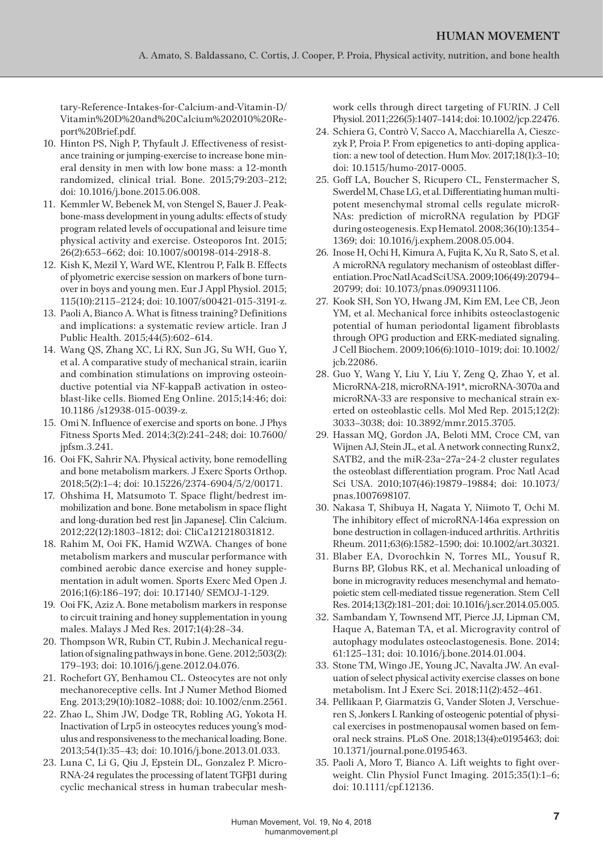tary-Reference-Intakes-for-Calcium-and-Vitamin-D/ Vitamin%20D%20and%20Calcium%202010%20Report%20Brief.pdf.

- 10. Hinton PS, Nigh P, Thyfault J. Effectiveness of resistance training or jumping-exercise to increase bone mineral density in men with low bone mass: a 12-month randomized, clinical trial. Bone. 2015;79:203–212; doi: 10.1016/j.bone.2015.06.008.
- 11. Kemmler W, Bebenek M, von Stengel S, Bauer J. Peakbone-mass development in young adults: effects of study program related levels of occupational and leisure time physical activity and exercise. Osteoporos Int. 2015; 26(2):653–662; doi: 10.1007/s00198-014-2918-8.
- 12. Kish K, Mezil Y, Ward WE, Klentrou P, Falk B. Effects of plyometric exercise session on markers of bone turnover in boys and young men. Eur J Appl Physiol. 2015; 115(10):2115–2124; doi: 10.1007/s00421-015-3191-z.
- 13. Paoli A, Bianco A. What is fitness training? Definitions and implications: a systematic review article. Iran J Public Health. 2015;44(5):602–614.
- 14. Wang QS, Zhang XC, Li RX, Sun JG, Su WH, Guo Y, et al. A comparative study of mechanical strain, icariin and combination stimulations on improving osteoinductive potential via NF-kappaB activation in osteoblast-like cells. Biomed Eng Online. 2015;14:46; doi: 10.1186 /s12938-015-0039-z.
- 15. Omi N. Influence of exercise and sports on bone. J Phys Fitness Sports Med. 2014;3(2):241–248; doi: 10.7600/ jpfsm.3.241.
- 16. Ooi FK, Sahrir NA. Physical activity, bone remodelling and bone metabolism markers. J Exerc Sports Orthop. 2018;5(2):1–4; doi: 10.15226/2374-6904/5/2/00171.
- 17. Ohshima H, Matsumoto T. Space flight/bedrest immobilization and bone. Bone metabolism in space flight and long-duration bed rest [in Japanese]. Clin Calcium. 2012;22(12):1803–1812; doi: CliCa121218031812.
- 18. Rahim M, Ooi FK, Hamid WZWA. Changes of bone metabolism markers and muscular performance with combined aerobic dance exercise and honey supplementation in adult women. Sports Exerc Med Open J. 2016;1(6):186–197; doi: 10.17140/ SEMOJ-1-129.
- 19. Ooi FK, Aziz A. Bone metabolism markers in response to circuit training and honey supplementation in young males. Malays J Med Res. 2017;1(4):28–34.
- 20. Thompson WR, Rubin CT, Rubin J. Mechanical regulation of signaling pathways in bone. Gene. 2012;503(2): 179–193; doi: 10.1016/j.gene.2012.04.076.
- 21. Rochefort GY, Benhamou CL. Osteocytes are not only mechanoreceptive cells. Int J Numer Method Biomed Eng. 2013;29(10):1082–1088; doi: 10.1002/cnm.2561.
- 22. Zhao L, Shim JW, Dodge TR, Robling AG, Yokota H. Inactivation of Lrp5 in osteocytes reduces young's modulus and responsiveness to the mechanical loading. Bone. 2013;54(1):35–43; doi: 10.1016/j.bone.2013.01.033.
- 23. Luna C, Li G, Qiu J, Epstein DL, Gonzalez P. Micro- $RNA-24$  regulates the processing of latent TGF $\beta$ 1 during cyclic mechanical stress in human trabecular mesh-

work cells through direct targeting of FURIN. J Cell Physiol. 2011;226(5):1407–1414; doi: 10.1002/jcp.22476.

- 24. Schiera G, Contrò V, Sacco A, Macchiarella A, Cieszczyk P, Proia P. From epigenetics to anti-doping application: a new tool of detection. Hum Mov. 2017;18(1):3–10; doi: 10.1515/humo-2017-0005.
- 25. Goff LA, Boucher S, Ricupero CL, Fenstermacher S, Swerdel M, Chase LG, et al. Differentiating human multipotent mesenchymal stromal cells regulate microR-NAs: prediction of microRNA regulation by PDGF during osteogenesis. Exp Hematol. 2008;36(10):1354– 1369; doi: 10.1016/j.exphem.2008.05.004.
- 26. Inose H, Ochi H, Kimura A, Fujita K, Xu R, Sato S, et al. A microRNA regulatory mechanism of osteoblast differentiation. Proc Natl Acad Sci USA. 2009;106(49):20794– 20799; doi: 10.1073/pnas.0909311106.
- 27. Kook SH, Son YO, Hwang JM, Kim EM, Lee CB, Jeon YM, et al. Mechanical force inhibits osteoclastogenic potential of human periodontal ligament fibroblasts through OPG production and ERK-mediated signaling. J Cell Biochem. 2009;106(6):1010–1019; doi: 10.1002/ jcb.22086.
- 28. Guo Y, Wang Y, Liu Y, Liu Y, Zeng Q, Zhao Y, et al. MicroRNA-218, microRNA-191\*, microRNA-3070a and microRNA-33 are responsive to mechanical strain exerted on osteoblastic cells. Mol Med Rep. 2015;12(2): 3033–3038; doi: 10.3892/mmr.2015.3705.
- 29. Hassan MQ, Gordon JA, Beloti MM, Croce CM, van Wijnen AJ, Stein JL, et al. A network connecting Runx2, SATB2, and the miR-23a~27a~24-2 cluster regulates the osteoblast differentiation program. Proc Natl Acad Sci USA. 2010;107(46):19879–19884; doi: 10.1073/ pnas.1007698107.
- 30. Nakasa T, Shibuya H, Nagata Y, Niimoto T, Ochi M. The inhibitory effect of microRNA-146a expression on bone destruction in collagen-induced arthritis. Arthritis Rheum. 2011;63(6):1582–1590; doi: 10.1002/art.30321.
- 31. Blaber EA, Dvorochkin N, Torres ML, Yousuf R, Burns BP, Globus RK, et al. Mechanical unloading of bone in microgravity reduces mesenchymal and hematopoietic stem cell-mediated tissue regeneration. Stem Cell Res. 2014;13(2):181–201; doi: 10.1016/j.scr.2014.05.005.
- 32. Sambandam Y, Townsend MT, Pierce JJ, Lipman CM, Haque A, Bateman TA, et al. Microgravity control of autophagy modulates osteoclastogenesis. Bone. 2014; 61:125–131; doi: 10.1016/j.bone.2014.01.004.
- 33. Stone TM, Wingo JE, Young JC, Navalta JW. An evaluation of select physical activity exercise classes on bone metabolism. Int J Exerc Sci. 2018;11(2):452–461.
- 34. Pellikaan P, Giarmatzis G, Vander Sloten J, Verschueren S, Jonkers I. Ranking of osteogenic potential of physical exercises in postmenopausal women based on femoral neck strains. PLoS One. 2018;13(4):e0195463; doi: 10.1371/journal.pone.0195463.
- 35. Paoli A, Moro T, Bianco A. Lift weights to fight overweight. Clin Physiol Funct Imaging. 2015;35(1):1–6; doi: 10.1111/cpf.12136.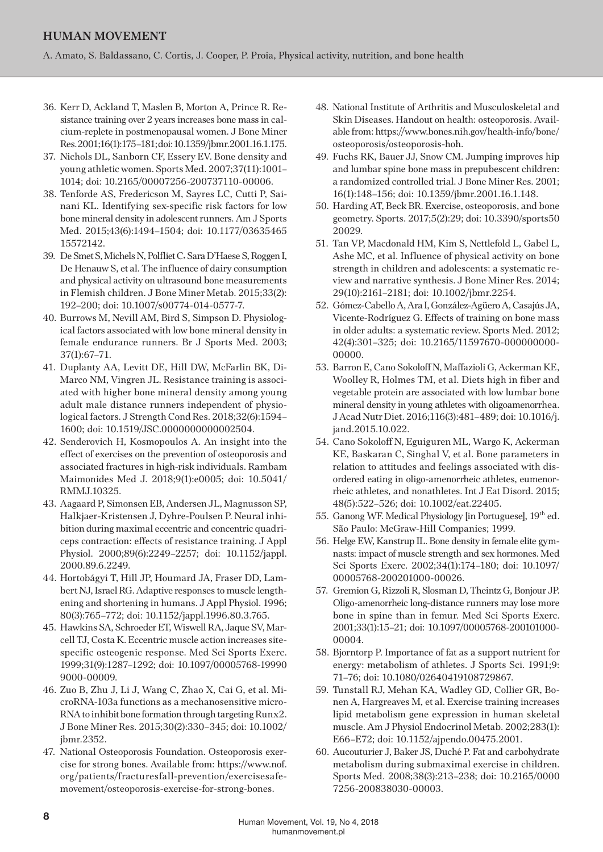- 36. Kerr D, Ackland T, Maslen B, Morton A, Prince R. Resistance training over 2 years increases bone mass in calcium-replete in postmenopausal women. J Bone Miner Res. 2001;16(1):175–181; doi: 10.1359/jbmr.2001.16.1.175.
- 37. Nichols DL, Sanborn CF, Essery EV. Bone density and young athletic women. Sports Med. 2007;37(11):1001– 1014; doi: 10.2165/00007256-200737110-00006.
- 38. Tenforde AS, Fredericson M, Sayres LC, Cutti P, Sainani KL. Identifying sex-specific risk factors for low bone mineral density in adolescent runners. Am J Sports Med. 2015;43(6):1494–1504; doi: 10.1177/03635465 15572142.
- 39. De Smet S, Michels N, Polfliet C, Sara D'Haese S, Roggen I, De Henauw S, et al. The influence of dairy consumption and physical activity on ultrasound bone measurements in Flemish children. J Bone Miner Metab. 2015;33(2): 192–200; doi: 10.1007/s00774-014-0577-7.
- 40. Burrows M, Nevill AM, Bird S, Simpson D. Physiological factors associated with low bone mineral density in female endurance runners. Br J Sports Med. 2003; 37(1):67–71.
- 41. Duplanty AA, Levitt DE, Hill DW, McFarlin BK, Di-Marco NM, Vingren JL. Resistance training is associated with higher bone mineral density among young adult male distance runners independent of physiological factors. J Strength Cond Res. 2018;32(6):1594– 1600; doi: 10.1519/JSC.0000000000002504.
- 42. Senderovich H, Kosmopoulos A. An insight into the effect of exercises on the prevention of osteoporosis and associated fractures in high-risk individuals. Rambam Maimonides Med J. 2018;9(1):e0005; doi: 10.5041/ RMMJ.10325.
- 43. Aagaard P, Simonsen EB, Andersen JL, Magnusson SP, Halkjaer-Kristensen J, Dyhre-Poulsen P. Neural inhibition during maximal eccentric and concentric quadriceps contraction: effects of resistance training. J Appl Physiol. 2000;89(6):2249–2257; doi: 10.1152/jappl. 2000.89.6.2249.
- 44. Hortobágyi T, Hill JP, Houmard JA, Fraser DD, Lambert NJ, Israel RG. Adaptive responses to muscle lengthening and shortening in humans. J Appl Physiol. 1996; 80(3):765–772; doi: 10.1152/jappl.1996.80.3.765.
- 45. Hawkins SA, Schroeder ET, Wiswell RA, Jaque SV, Marcell TJ, Costa K. Eccentric muscle action increases sitespecific osteogenic response. Med Sci Sports Exerc. 1999;31(9):1287–1292; doi: 10.1097/00005768-19990 9000-00009.
- 46. Zuo B, Zhu J, Li J, Wang C, Zhao X, Cai G, et al. MicroRNA-103a functions as a mechanosensitive micro-RNA to inhibit bone formation through targeting Runx2. J Bone Miner Res. 2015;30(2):330–345; doi: 10.1002/ jbmr.2352.
- 47. National Osteoporosis Foundation. Osteoporosis exercise for strong bones. Available from: https://www.nof. org/patients/fracturesfall-prevention/exercisesafemovement/osteoporosis-exercise-for-strong-bones.
- 48. National Institute of Arthritis and Musculoskeletal and Skin Diseases. Handout on health: osteoporosis. Available from: https://www.bones.nih.gov/health-info/bone/ osteoporosis/osteoporosis-hoh.
- 49. Fuchs RK, Bauer JJ, Snow CM. Jumping improves hip and lumbar spine bone mass in prepubescent children: a randomized controlled trial. J Bone Miner Res. 2001; 16(1):148–156; doi: 10.1359/jbmr.2001.16.1.148.
- 50. Harding AT, Beck BR. Exercise, osteoporosis, and bone geometry. Sports. 2017;5(2):29; doi: 10.3390/sports50 20029.
- 51. Tan VP, Macdonald HM, Kim S, Nettlefold L, Gabel L, Ashe MC, et al. Influence of physical activity on bone strength in children and adolescents: a systematic review and narrative synthesis. J Bone Miner Res. 2014; 29(10):2161–2181; doi: 10.1002/jbmr.2254.
- 52. Gómez-Cabello A, Ara I, González-Agüero A, Casajús JA, Vicente-Rodríguez G. Effects of training on bone mass in older adults: a systematic review. Sports Med. 2012; 42(4):301–325; doi: 10.2165/11597670-000000000- 00000.
- 53. Barron E, Cano Sokoloff N, Maffazioli G, Ackerman KE, Woolley R, Holmes TM, et al. Diets high in fiber and vegetable protein are associated with low lumbar bone mineral density in young athletes with oligoamenorrhea. J Acad Nutr Diet. 2016;116(3):481–489; doi: 10.1016/j. jand.2015.10.022.
- 54. Cano Sokoloff N, Eguiguren ML, Wargo K, Ackerman KE, Baskaran C, Singhal V, et al. Bone parameters in relation to attitudes and feelings associated with disordered eating in oligo-amenorrheic athletes, eumenorrheic athletes, and nonathletes. Int J Eat Disord. 2015; 48(5):522–526; doi: 10.1002/eat.22405.
- 55. Ganong WF. Medical Physiology [in Portuguese], 19<sup>th</sup> ed. São Paulo: McGraw-Hill Companies; 1999.
- 56. Helge EW, Kanstrup IL. Bone density in female elite gymnasts: impact of muscle strength and sex hormones. Med Sci Sports Exerc. 2002;34(1):174–180; doi: 10.1097/ 00005768-200201000-00026.
- 57. Gremion G, Rizzoli R, Slosman D, Theintz G, Bonjour JP. Oligo-amenorrheic long-distance runners may lose more bone in spine than in femur. Med Sci Sports Exerc. 2001;33(1):15–21; doi: 10.1097/00005768-200101000- 00004.
- 58. Bjorntorp P. Importance of fat as a support nutrient for energy: metabolism of athletes. J Sports Sci. 1991;9: 71–76; doi: 10.1080/02640419108729867.
- 59. Tunstall RJ, Mehan KA, Wadley GD, Collier GR, Bonen A, Hargreaves M, et al. Exercise training increases lipid metabolism gene expression in human skeletal muscle. Am J Physiol Endocrinol Metab. 2002;283(1): E66–E72; doi: 10.1152/ajpendo.00475.2001.
- 60. Aucouturier J, Baker JS, Duché P. Fat and carbohydrate metabolism during submaximal exercise in children. Sports Med. 2008;38(3):213–238; doi: 10.2165/0000 7256-200838030-00003.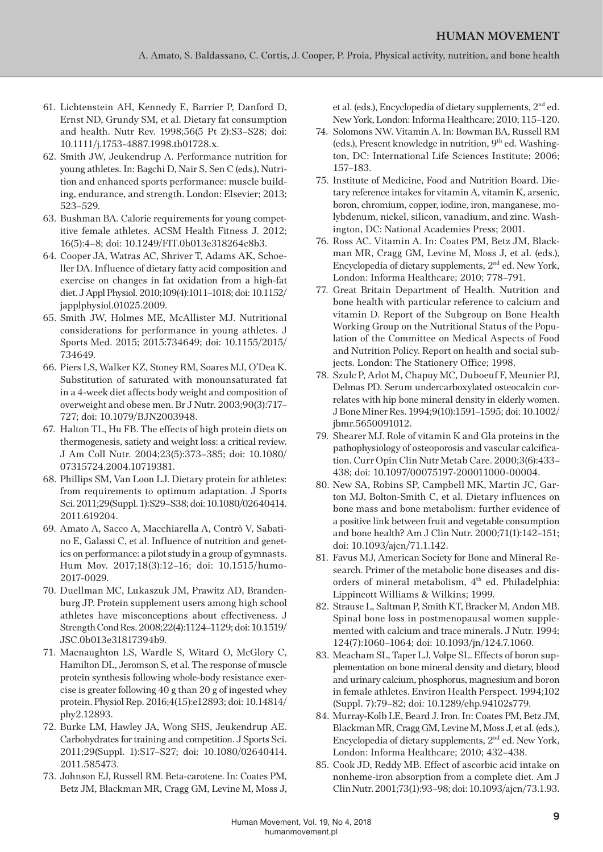- 61. Lichtenstein AH, Kennedy E, Barrier P, Danford D, Ernst ND, Grundy SM, et al. Dietary fat consumption and health. Nutr Rev. 1998;56(5 Pt 2):S3–S28; doi: 10.1111/j.1753-4887.1998.tb01728.x.
- 62. Smith JW, Jeukendrup A. Performance nutrition for young athletes. In: Bagchi D, Nair S, Sen C (eds.), Nutrition and enhanced sports performance: muscle building, endurance, and strength. London: Elsevier; 2013; 523–529.
- 63. Bushman BA. Calorie requirements for young competitive female athletes. ACSM Health Fitness J. 2012; 16(5):4–8; doi: 10.1249/FIT.0b013e318264c8b3.
- 64. Cooper JA, Watras AC, Shriver T, Adams AK, Schoeller DA. Influence of dietary fatty acid composition and exercise on changes in fat oxidation from a high-fat diet. J Appl Physiol. 2010;109(4):1011–1018; doi: 10.1152/ japplphysiol.01025.2009.
- 65. Smith JW, Holmes ME, McAllister MJ. Nutritional considerations for performance in young athletes. J Sports Med. 2015; 2015:734649; doi: 10.1155/2015/ 734649.
- 66. Piers LS, Walker KZ, Stoney RM, Soares MJ, O'Dea K. Substitution of saturated with monounsaturated fat in a 4-week diet affects body weight and composition of overweight and obese men. Br J Nutr. 2003;90(3):717– 727; doi: 10.1079/BJN2003948.
- 67. Halton TL, Hu FB. The effects of high protein diets on thermogenesis, satiety and weight loss: a critical review. J Am Coll Nutr. 2004;23(5):373–385; doi: 10.1080/ 07315724.2004.10719381.
- 68. Phillips SM, Van Loon LJ. Dietary protein for athletes: from requirements to optimum adaptation. J Sports Sci. 2011;29(Suppl. 1):S29–S38; doi: 10.1080/02640414. 2011.619204.
- 69. Amato A, Sacco A, Macchiarella A, Contrò V, Sabatino E, Galassi C, et al. Influence of nutrition and genetics on performance: a pilot study in a group of gymnasts. Hum Mov. 2017;18(3):12–16; doi: 10.1515/humo-2017-0029.
- 70. Duellman MC, Lukaszuk JM, Prawitz AD, Brandenburg JP. Protein supplement users among high school athletes have misconceptions about effectiveness. J Strength Cond Res. 2008;22(4):1124–1129; doi: 10.1519/ JSC.0b013e31817394b9.
- 71. Macnaughton LS, Wardle S, Witard O, McGlory C, Hamilton DL, Jeromson S, et al. The response of muscle protein synthesis following whole-body resistance exercise is greater following 40 g than 20 g of ingested whey protein. Physiol Rep. 2016;4(15):e12893; doi: 10.14814/ phy2.12893.
- 72. Burke LM, Hawley JA, Wong SHS, Jeukendrup AE. Carbohydrates for training and competition. J Sports Sci. 2011;29(Suppl. 1):S17–S27; doi: 10.1080/02640414. 2011.585473.
- 73. Johnson EJ, Russell RM. Beta-carotene. In: Coates PM, Betz JM, Blackman MR, Cragg GM, Levine M, Moss J,

et al. (eds.), Encyclopedia of dietary supplements,  $2<sup>nd</sup>$  ed. New York, London: Informa Healthcare; 2010; 115–120.

- 74. Solomons NW. Vitamin A. In: Bowman BA, Russell RM (eds.), Present knowledge in nutrition,  $9<sup>th</sup>$  ed. Washington, DC: International Life Sciences Institute; 2006; 157–183.
- 75. Institute of Medicine, Food and Nutrition Board. Dietary reference intakes for vitamin A, vitamin K, arsenic, boron, chromium, copper, iodine, iron, manganese, molybdenum, nickel, silicon, vanadium, and zinc. Washington, DC: National Academies Press; 2001.
- 76. Ross AC. Vitamin A. In: Coates PM, Betz JM, Blackman MR, Cragg GM, Levine M, Moss J, et al. (eds.), Encyclopedia of dietary supplements,  $2<sup>nd</sup>$  ed. New York, London: Informa Healthcare; 2010; 778–791.
- 77. Great Britain Department of Health. Nutrition and bone health with particular reference to calcium and vitamin D. Report of the Subgroup on Bone Health Working Group on the Nutritional Status of the Population of the Committee on Medical Aspects of Food and Nutrition Policy. Report on health and social subjects. London: The Stationery Office; 1998.
- 78. Szulc P, Arlot M, Chapuy MC, Duboeuf F, Meunier PJ, Delmas PD. Serum undercarboxylated osteocalcin correlates with hip bone mineral density in elderly women. J Bone Miner Res. 1994;9(10):1591–1595; doi: 10.1002/ jbmr.5650091012.
- 79. Shearer MJ. Role of vitamin K and Gla proteins in the pathophysiology of osteoporosis and vascular calcification. Curr Opin Clin Nutr Metab Care. 2000;3(6):433– 438; doi: 10.1097/00075197-200011000-00004.
- 80. New SA, Robins SP, Campbell MK, Martin JC, Garton MJ, Bolton-Smith C, et al. Dietary influences on bone mass and bone metabolism: further evidence of a positive link between fruit and vegetable consumption and bone health? Am J Clin Nutr. 2000;71(1):142–151; doi: 10.1093/ajcn/71.1.142.
- 81. Favus MJ, American Society for Bone and Mineral Research. Primer of the metabolic bone diseases and disorders of mineral metabolism, 4<sup>th</sup> ed. Philadelphia: Lippincott Williams & Wilkins; 1999.
- 82. Strause L, Saltman P, Smith KT, Bracker M, Andon MB. Spinal bone loss in postmenopausal women supplemented with calcium and trace minerals. J Nutr. 1994; 124(7):1060–1064; doi: 10.1093/jn/124.7.1060.
- 83. Meacham SL, Taper LJ, Volpe SL. Effects of boron supplementation on bone mineral density and dietary, blood and urinary calcium, phosphorus, magnesium and boron in female athletes. Environ Health Perspect. 1994;102 (Suppl. 7):79–82; doi: 10.1289/ehp.94102s779.
- 84. Murray-Kolb LE, Beard J. Iron. In: Coates PM, Betz JM, Blackman MR, Cragg GM, Levine M, Moss J, et al. (eds.), Encyclopedia of dietary supplements, 2nd ed. New York, London: Informa Healthcare; 2010; 432–438.
- 85. Cook JD, Reddy MB. Effect of ascorbic acid intake on nonheme-iron absorption from a complete diet. Am J Clin Nutr. 2001;73(1):93–98; doi: 10.1093/ajcn/73.1.93.